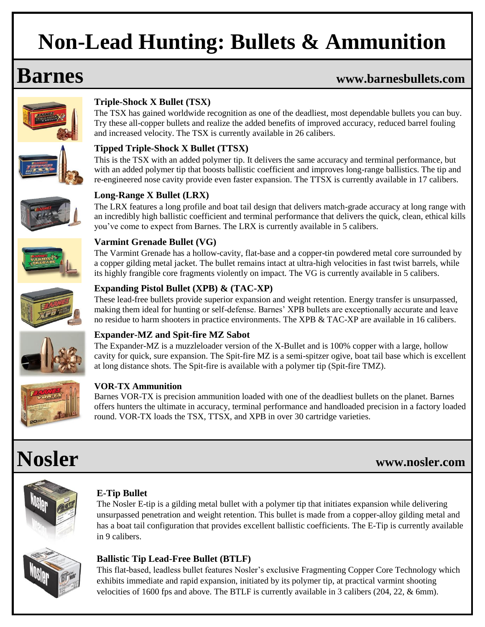# **Non-Lead Hunting: Bullets & Ammunition**

## **Barnes www.barnesbullets.com**



## **Triple-Shock X Bullet (TSX)**

The TSX has gained worldwide recognition as one of the deadliest, most dependable bullets you can buy. Try these all-copper bullets and realize the added benefits of improved accuracy, reduced barrel fouling and increased velocity. The TSX is currently available in 26 calibers.

## **Tipped Triple-Shock X Bullet (TTSX)**

This is the TSX with an added polymer tip. It delivers the same accuracy and terminal performance, but with an added polymer tip that boosts ballistic coefficient and improves long-range ballistics. The tip and re-engineered nose cavity provide even faster expansion. The TTSX is currently available in 17 calibers.



### **Long-Range X Bullet (LRX)**

The LRX features a long profile and boat tail design that delivers match-grade accuracy at long range with an incredibly high ballistic coefficient and terminal performance that delivers the quick, clean, ethical kills you've come to expect from Barnes. The LRX is currently available in 5 calibers.



### **Varmint Grenade Bullet (VG)**

The Varmint Grenade has a hollow-cavity, flat-base and a copper-tin powdered metal core surrounded by a copper gilding metal jacket. The bullet remains intact at ultra-high velocities in fast twist barrels, while its highly frangible core fragments violently on impact. The VG is currently available in 5 calibers.

These lead-free bullets provide superior expansion and weight retention. Energy transfer is unsurpassed,



### making them ideal for hunting or self-defense. Barnes' XPB bullets are exceptionally accurate and leave no residue to harm shooters in practice environments. The XPB & TAC-XP are available in 16 calibers.

**Expanding Pistol Bullet (XPB) & (TAC-XP)**

### **Expander-MZ and Spit-fire MZ Sabot**

The Expander-MZ is a muzzleloader version of the X-Bullet and is 100% copper with a large, hollow cavity for quick, sure expansion. The Spit-fire MZ is a semi-spitzer ogive, boat tail base which is excellent at long distance shots. The Spit-fire is available with a polymer tip (Spit-fire TMZ).



## **VOR-TX Ammunition**

Barnes VOR-TX is precision ammunition loaded with one of the deadliest bullets on the planet. Barnes offers hunters the ultimate in accuracy, terminal performance and handloaded precision in a factory loaded round. VOR-TX loads the TSX, TTSX, and XPB in over 30 cartridge varieties.

# **Nosler www.nosler.com**



## **E-Tip Bullet**

The Nosler E-tip is a gilding metal bullet with a polymer tip that initiates expansion while delivering unsurpassed penetration and weight retention. This bullet is made from a copper-alloy gilding metal and has a boat tail configuration that provides excellent ballistic coefficients. The E-Tip is currently available in 9 calibers.



### **Ballistic Tip Lead-Free Bullet (BTLF)**

This flat-based, leadless bullet features Nosler's exclusive Fragmenting Copper Core Technology which exhibits immediate and rapid expansion, initiated by its polymer tip, at practical varmint shooting velocities of 1600 fps and above. The BTLF is currently available in 3 calibers (204, 22, & 6mm).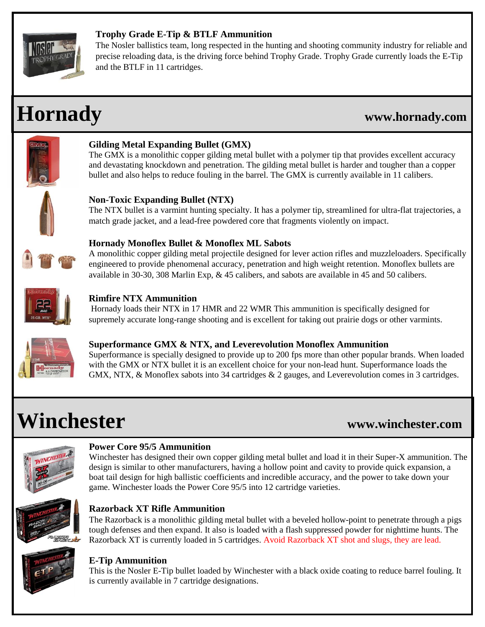

### **Trophy Grade E-Tip & BTLF Ammunition**

The Nosler ballistics team, long respected in the hunting and shooting community industry for reliable and precise reloading data, is the driving force behind Trophy Grade. Trophy Grade currently loads the E-Tip and the BTLF in 11 cartridges.

## **Hornady www.hornady.com**



## **Gilding Metal Expanding Bullet (GMX)**

The GMX is a monolithic copper gilding metal bullet with a polymer tip that provides excellent accuracy and devastating knockdown and penetration. The gilding metal bullet is harder and tougher than a copper bullet and also helps to reduce fouling in the barrel. The GMX is currently available in 11 calibers.



## **Non-Toxic Expanding Bullet (NTX)**

The NTX bullet is a varmint hunting specialty. It has a polymer tip, streamlined for ultra-flat trajectories, a match grade jacket, and a lead-free powdered core that fragments violently on impact.



### **Hornady Monoflex Bullet & Monoflex ML Sabots**

A monolithic copper gilding metal projectile designed for lever action rifles and muzzleloaders. Specifically engineered to provide phenomenal accuracy, penetration and high weight retention. Monoflex bullets are available in 30-30, 308 Marlin Exp, & 45 calibers, and sabots are available in 45 and 50 calibers.



### **Rimfire NTX Ammunition**

Hornady loads their NTX in 17 HMR and 22 WMR This ammunition is specifically designed for supremely accurate long-range shooting and is excellent for taking out prairie dogs or other varmints.



## **Superformance GMX & NTX, and Leverevolution Monoflex Ammunition**

Superformance is specially designed to provide up to 200 fps more than other popular brands. When loaded with the GMX or NTX bullet it is an excellent choice for your non-lead hunt. Superformance loads the GMX, NTX, & Monoflex sabots into 34 cartridges & 2 gauges, and Leverevolution comes in 3 cartridges.

# **Winchester www.winchester.com**



### **Power Core 95/5 Ammunition**

Winchester has designed their own copper gilding metal bullet and load it in their Super-X ammunition. The design is similar to other manufacturers, having a hollow point and cavity to provide quick expansion, a boat tail design for high ballistic coefficients and incredible accuracy, and the power to take down your game. Winchester loads the Power Core 95/5 into 12 cartridge varieties.



## **Razorback XT Rifle Ammunition**

The Razorback is a monolithic gilding metal bullet with a beveled hollow-point to penetrate through a pigs tough defenses and then expand. It also is loaded with a flash suppressed powder for nighttime hunts. The Razorback XT is currently loaded in 5 cartridges. Avoid Razorback XT shot and slugs, they are lead.



### **E-Tip Ammunition**

This is the Nosler E-Tip bullet loaded by Winchester with a black oxide coating to reduce barrel fouling. It is currently available in 7 cartridge designations.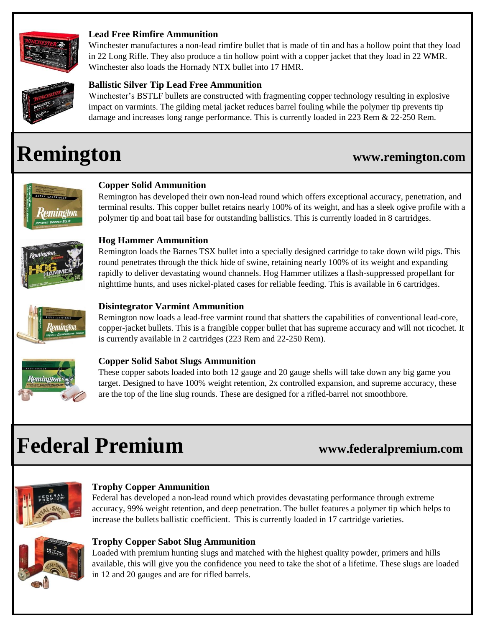

### **Lead Free Rimfire Ammunition**

Winchester manufactures a non-lead rimfire bullet that is made of tin and has a hollow point that they load in 22 Long Rifle. They also produce a tin hollow point with a copper jacket that they load in 22 WMR. Winchester also loads the Hornady NTX bullet into 17 HMR.



### **Ballistic Silver Tip Lead Free Ammunition**

Winchester's BSTLF bullets are constructed with fragmenting copper technology resulting in explosive impact on varmints. The gilding metal jacket reduces barrel fouling while the polymer tip prevents tip damage and increases long range performance. This is currently loaded in 223 Rem & 22-250 Rem.

# **Remington www.remington.com**



### **Copper Solid Ammunition**

Remington has developed their own non-lead round which offers exceptional accuracy, penetration, and terminal results. This copper bullet retains nearly 100% of its weight, and has a sleek ogive profile with a polymer tip and boat tail base for outstanding ballistics. This is currently loaded in 8 cartridges.



### **Hog Hammer Ammunition**

Remington loads the Barnes TSX bullet into a specially designed cartridge to take down wild pigs. This round penetrates through the thick hide of swine, retaining nearly 100% of its weight and expanding rapidly to deliver devastating wound channels. Hog Hammer utilizes a flash-suppressed propellant for nighttime hunts, and uses nickel-plated cases for reliable feeding. This is available in 6 cartridges.



### **Disintegrator Varmint Ammunition**

Remington now loads a lead-free varmint round that shatters the capabilities of conventional lead-core, copper-jacket bullets. This is a frangible copper bullet that has supreme accuracy and will not ricochet. It is currently available in 2 cartridges (223 Rem and 22-250 Rem).



### **Copper Solid Sabot Slugs Ammunition**

These copper sabots loaded into both 12 gauge and 20 gauge shells will take down any big game you target. Designed to have 100% weight retention, 2x controlled expansion, and supreme accuracy, these are the top of the line slug rounds. These are designed for a rifled-barrel not smoothbore.

# **Federal Premium www.federalpremium.com**



### **Trophy Copper Ammunition**

Federal has developed a non-lead round which provides devastating performance through extreme accuracy, 99% weight retention, and deep penetration. The bullet features a polymer tip which helps to increase the bullets ballistic coefficient. This is currently loaded in 17 cartridge varieties.



### **Trophy Copper Sabot Slug Ammunition**

Loaded with premium hunting slugs and matched with the highest quality powder, primers and hills available, this will give you the confidence you need to take the shot of a lifetime. These slugs are loaded in 12 and 20 gauges and are for rifled barrels.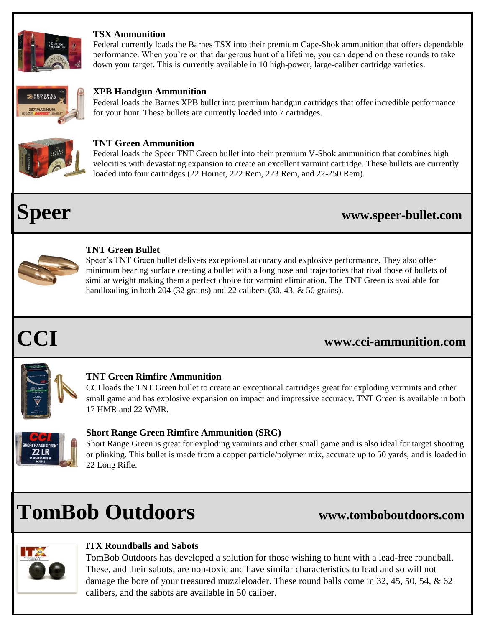

### **TSX Ammunition**

Federal currently loads the Barnes TSX into their premium Cape-Shok ammunition that offers dependable performance. When you're on that dangerous hunt of a lifetime, you can depend on these rounds to take down your target. This is currently available in 10 high-power, large-caliber cartridge varieties.



### **XPB Handgun Ammunition**

Federal loads the Barnes XPB bullet into premium handgun cartridges that offer incredible performance for your hunt. These bullets are currently loaded into 7 cartridges.



### **TNT Green Ammunition**

Federal loads the Speer TNT Green bullet into their premium V-Shok ammunition that combines high velocities with devastating expansion to create an excellent varmint cartridge. These bullets are currently loaded into four cartridges (22 Hornet, 222 Rem, 223 Rem, and 22-250 Rem).

## **Speer www.speer-bullet.com**



### **TNT Green Bullet**

Speer's TNT Green bullet delivers exceptional accuracy and explosive performance. They also offer minimum bearing surface creating a bullet with a long nose and trajectories that rival those of bullets of similar weight making them a perfect choice for varmint elimination. The TNT Green is available for handloading in both 204 (32 grains) and 22 calibers (30, 43, & 50 grains).

## **CCI www.cci-ammunition.com**



### **TNT Green Rimfire Ammunition**

CCI loads the TNT Green bullet to create an exceptional cartridges great for exploding varmints and other small game and has explosive expansion on impact and impressive accuracy. TNT Green is available in both 17 HMR and 22 WMR.



### **Short Range Green Rimfire Ammunition (SRG)**

Short Range Green is great for exploding varmints and other small game and is also ideal for target shooting or plinking. This bullet is made from a copper particle/polymer mix, accurate up to 50 yards, and is loaded in 22 Long Rifle.

# **TomBob Outdoors www.tomboboutdoors.com**



### **ITX Roundballs and Sabots**

TomBob Outdoors has developed a solution for those wishing to hunt with a lead-free roundball. These, and their sabots, are non-toxic and have similar characteristics to lead and so will not damage the bore of your treasured muzzleloader. These round balls come in 32, 45, 50, 54, & 62 calibers, and the sabots are available in 50 caliber.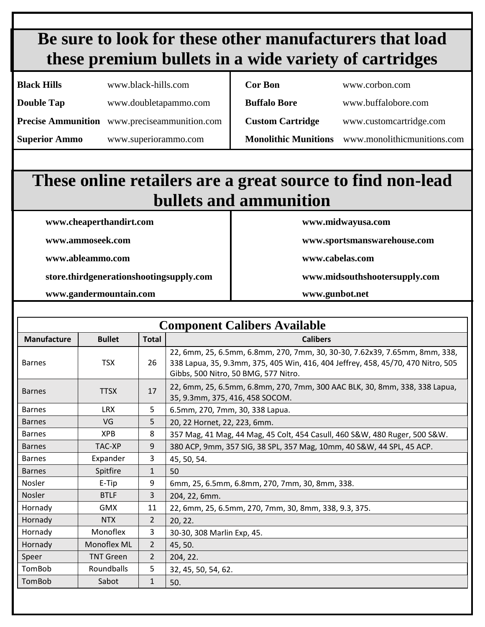## **Be sure to look for these other manufacturers that load these premium bullets in a wide variety of cartridges**

| <b>Black Hills</b>   | www.black-hills.com                                 | <b>Cor Bon</b>              | www.corbon.com              |
|----------------------|-----------------------------------------------------|-----------------------------|-----------------------------|
| <b>Double Tap</b>    | www.doubletapammo.com                               | <b>Buffalo Bore</b>         | www.buffalobore.com         |
|                      | <b>Precise Ammunition</b> www.preciseammunition.com | <b>Custom Cartridge</b>     | www.customcartridge.com     |
| <b>Superior Ammo</b> | www.superiorammo.com                                | <b>Monolithic Munitions</b> | www.monolithicmunitions.com |

## **These online retailers are a great source to find non-lead bullets and ammunition**

**www.cheaperthandirt.com www.midwayusa.com** 

**www.ableammo.com www.cabelas.com**

**store.thirdgenerationshootingsupply.com www.midsouthshootersupply.com**

**www.gandermountain.com www.gunbot.net**

**www.ammoseek.com www.sportsmanswarehouse.com** 

| <b>Component Calibers Available</b> |                  |                |                                                                                                                                                                                                        |  |  |  |  |
|-------------------------------------|------------------|----------------|--------------------------------------------------------------------------------------------------------------------------------------------------------------------------------------------------------|--|--|--|--|
| Manufacture                         | <b>Bullet</b>    | <b>Total</b>   | <b>Calibers</b>                                                                                                                                                                                        |  |  |  |  |
| <b>Barnes</b>                       | <b>TSX</b>       | 26             | 22, 6mm, 25, 6.5mm, 6.8mm, 270, 7mm, 30, 30-30, 7.62x39, 7.65mm, 8mm, 338,<br>338 Lapua, 35, 9.3mm, 375, 405 Win, 416, 404 Jeffrey, 458, 45/70, 470 Nitro, 505<br>Gibbs, 500 Nitro, 50 BMG, 577 Nitro. |  |  |  |  |
| <b>Barnes</b>                       | <b>TTSX</b>      | 17             | 22, 6mm, 25, 6.5mm, 6.8mm, 270, 7mm, 300 AAC BLK, 30, 8mm, 338, 338 Lapua,<br>35, 9.3mm, 375, 416, 458 SOCOM.                                                                                          |  |  |  |  |
| <b>Barnes</b>                       | <b>LRX</b>       | 5              | 6.5mm, 270, 7mm, 30, 338 Lapua.                                                                                                                                                                        |  |  |  |  |
| <b>Barnes</b>                       | VG               | 5              | 20, 22 Hornet, 22, 223, 6mm.                                                                                                                                                                           |  |  |  |  |
| <b>Barnes</b>                       | <b>XPB</b>       | 8              | 357 Mag, 41 Mag, 44 Mag, 45 Colt, 454 Casull, 460 S&W, 480 Ruger, 500 S&W.                                                                                                                             |  |  |  |  |
| <b>Barnes</b>                       | TAC-XP           | 9              | 380 ACP, 9mm, 357 SIG, 38 SPL, 357 Mag, 10mm, 40 S&W, 44 SPL, 45 ACP.                                                                                                                                  |  |  |  |  |
| <b>Barnes</b>                       | Expander         | 3              | 45, 50, 54.                                                                                                                                                                                            |  |  |  |  |
| <b>Barnes</b>                       | Spitfire         | $\mathbf{1}$   | 50                                                                                                                                                                                                     |  |  |  |  |
| Nosler                              | E-Tip            | 9              | 6mm, 25, 6.5mm, 6.8mm, 270, 7mm, 30, 8mm, 338.                                                                                                                                                         |  |  |  |  |
| Nosler                              | <b>BTLF</b>      | 3              | 204, 22, 6mm.                                                                                                                                                                                          |  |  |  |  |
| Hornady                             | <b>GMX</b>       | 11             | 22, 6mm, 25, 6.5mm, 270, 7mm, 30, 8mm, 338, 9.3, 375.                                                                                                                                                  |  |  |  |  |
| Hornady                             | <b>NTX</b>       | $\overline{2}$ | 20, 22.                                                                                                                                                                                                |  |  |  |  |
| Hornady                             | Monoflex         | 3              | 30-30, 308 Marlin Exp, 45.                                                                                                                                                                             |  |  |  |  |
| Hornady                             | Monoflex ML      | $\overline{2}$ | 45, 50.                                                                                                                                                                                                |  |  |  |  |
| Speer                               | <b>TNT Green</b> | $\overline{2}$ | 204, 22.                                                                                                                                                                                               |  |  |  |  |
| TomBob                              | Roundballs       | 5              | 32, 45, 50, 54, 62.                                                                                                                                                                                    |  |  |  |  |
| TomBob                              | Sabot            | $\mathbf{1}$   | 50.                                                                                                                                                                                                    |  |  |  |  |
|                                     |                  |                |                                                                                                                                                                                                        |  |  |  |  |